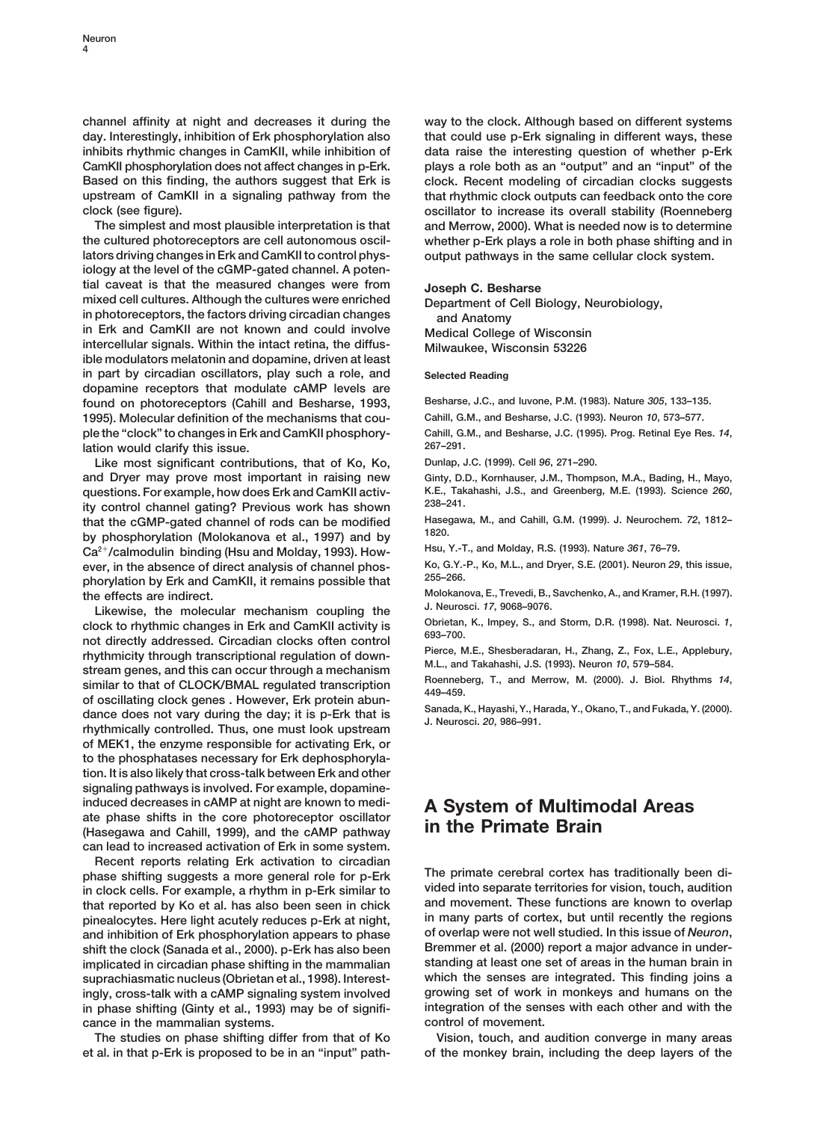**channel affinity at night and decreases it during the way to the clock. Although based on different systems day. Interestingly, inhibition of Erk phosphorylation also that could use p-Erk signaling in different ways, these inhibits rhythmic changes in CamKII, while inhibition of data raise the interesting question of whether p-Erk CamKII phosphorylation does not affect changes in p-Erk. plays a role both as an "output" and an "input" of the Based on this finding, the authors suggest that Erk is clock. Recent modeling of circadian clocks suggests upstream of CamKII in a signaling pathway from the that rhythmic clock outputs can feedback onto the core**

**the cultured photoreceptors are cell autonomous oscil- whether p-Erk plays a role in both phase shifting and in lators driving changes in Erk and CamKII to control phys- output pathways in the same cellular clock system. iology at the level of the cGMP-gated channel. A potential caveat is that the measured changes were from Joseph C. Besharse mixed cell cultures. Although the cultures were enriched Department of Cell Biology, Neurobiology, in photoreceptors, the factors driving circadian changes and Anatomy in Erk and CamKII are not known and could involve Medical College of Wisconsin intercellular signals. Within the intact retina, the diffus- Milwaukee, Wisconsin 53226 ible modulators melatonin and dopamine, driven at least** in part by circadian oscillators, play such a role, and **Selected Reading dopamine receptors that modulate cAMP levels are Besharse, J.C., and Iuvone, P.M. (1983). Nature** *305***, 133–135. found on photoreceptors (Cahill and Besharse, 1993, 1995). Molecular definition of the mechanisms that cou- Cahill, G.M., and Besharse, J.C. (1993). Neuron** *10***, 573–577. ple the "clock" to changes in Erk and CamKII phosphory- Cahill, G.M., and Besharse, J.C. (1995). Prog. Retinal Eye Res.** *14***, 267–291. lation would clarify this issue.**

**Like most significant contributions, that of Ko, Ko, Dunlap, J.C. (1999). Cell** *96***, 271–290. and Dryer may prove most important in raising new Ginty, D.D., Kornhauser, J.M., Thompson, M.A., Bading, H., Mayo, questions. For example, how does Erk and CamKII activ- K.E., Takahashi, J.S., and Greenberg, M.E. (1993). Science** *260***, 238–241. ity control channel gating? Previous work has shown Hasel**<br>hy phoenhemistics (Malekeneye at al. 1997) and by 1820. **by phosphorylation (Molokanova et al., 1997) and by <sup>1820.</sup><br>Ca<sup>2+</sup>/calmodulin binding (Hsu and Molday 1993) How. Hsu, Y.-T., and Molday, R.S. (1993). Nature 361, 76–79. Ca2**<sup>1</sup> **Hsu, Y.-T., and Molday, R.S. (1993). Nature** *<sup>361</sup>***, 76–79. /calmodulin binding (Hsu and Molday, 1993). However, in the absence of direct analysis of channel phos- Ko, G.Y.-**<br> **Completion** by Friend Camilli, it remains appelled that 255-266. **255–266. phorylation by Erk and CamKII, it remains possible that**

Likewise, the molecular mechanism coupling the streams of the mode-9076.<br>Ock to rhythmic changes in Frk and CamKII activity is Obrietan, K., Impey, S., and Storm, D.R. (1998). Nat. Neurosci. 1, clock to rhythmic changes in Erk and CamKII activity is<br>
not directly addressed. Circadian clocks often control<br>
rhythmicity through transcriptional regulation of down-<br>
stream genes, and this can occur through a mechanism **of MEK1, the enzyme responsible for activating Erk, or to the phosphatases necessary for Erk dephosphorylation. It is also likely that cross-talk between Erk and other signaling pathways is involved. For example, dopamineinduced decreases in cAMP at night are known to medi- A System of Multimodal Areas ate phase shifts in the core photoreceptor oscillator (Hasegawa and Cahill, 1999), and the cAMP pathway can lead to increased activation of Erk in some system.**

**Recent reports relating Erk activation to circadian** in clock cells. For example, a rhythm in p-Erk similar to **that reported by Ko et al. has also been seen in chick and movement. These functions are known to overlap and inhibition of Erk phosphorylation appears to phase of overlap were not well studied. In this issue of** *Neuron***,** shift the clock (Sanada et al., 2000). p-Erk has also been **cance in the mammalian systems. control of movement.**

**et al. in that p-Erk is proposed to be in an "input" path- of the monkey brain, including the deep layers of the**

**clock (see figure). oscillator to increase its overall stability (Roenneberg The simplest and most plausible interpretation is that and Merrow, 2000). What is needed now is to determine**

**Molokanova, E., Trevedi, B., Savchenko, A., and Kramer, R.H. (1997). the effects are indirect.**

**phase shifting suggests a more general role for p-Erk The primate cerebral cortex has traditionally been dipinealocytes. Here light acutely reduces p-Erk at night, in many parts of cortex, but until recently the regions implicated in circadian phase shifting in the mammalian standing at least one set of areas in the human brain in suprachiasmatic nucleus (Obrietan et al., 1998). Interest- which the senses are integrated. This finding joins a ingly, cross-talk with a cAMP signaling system involved growing set of work in monkeys and humans on the in phase shifting (Ginty et al., 1993) may be of signifi- integration of the senses with each other and with the**

**The studies on phase shifting differ from that of Ko Vision, touch, and audition converge in many areas**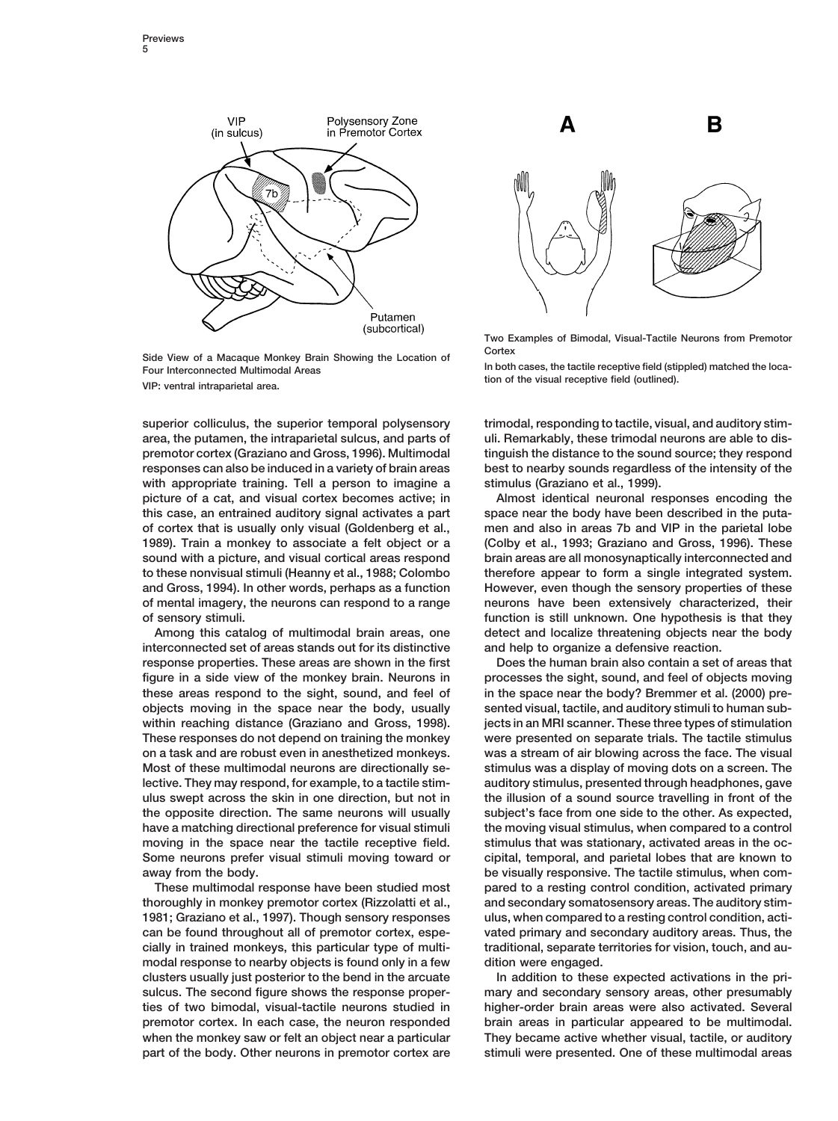

**Cortex Side View of a Macaque Monkey Brain Showing the Location of In both cases, the tactile receptive field (stippled) matched the loca- Four Interconnected Multimodal Areas tion of the visual receptive field (outlined). VIP: ventral intraparietal area.**

**superior colliculus, the superior temporal polysensory trimodal, responding to tactile, visual, and auditory stimarea, the putamen, the intraparietal sulcus, and parts of uli. Remarkably, these trimodal neurons are able to dispremotor cortex (Graziano and Gross, 1996). Multimodal tinguish the distance to the sound source; they respond responses can also be induced in a variety of brain areas best to nearby sounds regardless of the intensity of the with appropriate training. Tell a person to imagine a stimulus (Graziano et al., 1999). picture of a cat, and visual cortex becomes active; in Almost identical neuronal responses encoding the this case, an entrained auditory signal activates a part space near the body have been described in the putaof cortex that is usually only visual (Goldenberg et al., men and also in areas 7b and VIP in the parietal lobe 1989). Train a monkey to associate a felt object or a (Colby et al., 1993; Graziano and Gross, 1996). These sound with a picture, and visual cortical areas respond brain areas are all monosynaptically interconnected and to these nonvisual stimuli (Heanny et al., 1988; Colombo therefore appear to form a single integrated system. and Gross, 1994). In other words, perhaps as a function However, even though the sensory properties of these of mental imagery, the neurons can respond to a range neurons have been extensively characterized, their of sensory stimuli. function is still unknown. One hypothesis is that they**

**interconnected set of areas stands out for its distinctive and help to organize a defensive reaction. response properties. These areas are shown in the first Does the human brain also contain a set of areas that figure in a side view of the monkey brain. Neurons in processes the sight, sound, and feel of objects moving these areas respond to the sight, sound, and feel of in the space near the body? Bremmer et al. (2000) preobjects moving in the space near the body, usually sented visual, tactile, and auditory stimuli to human subwithin reaching distance (Graziano and Gross, 1998). jects in an MRI scanner. These three types of stimulation These responses do not depend on training the monkey were presented on separate trials. The tactile stimulus on a task and are robust even in anesthetized monkeys. was a stream of air blowing across the face. The visual Most of these multimodal neurons are directionally se- stimulus was a display of moving dots on a screen. The lective. They may respond, for example, to a tactile stim- auditory stimulus, presented through headphones, gave ulus swept across the skin in one direction, but not in the illusion of a sound source travelling in front of the the opposite direction. The same neurons will usually subject's face from one side to the other. As expected, have a matching directional preference for visual stimuli the moving visual stimulus, when compared to a control** moving in the space near the tactile receptive field. Stimulus that was stationary, activated areas in the oc-**Some neurons prefer visual stimuli moving toward or cipital, temporal, and parietal lobes that are known to** away from the body. **be visually responsive. The tactile stimulus, when com-**

**1981; Graziano et al., 1997). Though sensory responses ulus, when compared to a resting control condition, acticially in trained monkeys, this particular type of multi- traditional, separate territories for vision, touch, and aumodal response to nearby objects is found only in a few dition were engaged. clusters usually just posterior to the bend in the arcuate In addition to these expected activations in the prisulcus. The second figure shows the response proper- mary and secondary sensory areas, other presumably ties of two bimodal, visual-tactile neurons studied in higher-order brain areas were also activated. Several premotor cortex. In each case, the neuron responded brain areas in particular appeared to be multimodal. when the monkey saw or felt an object near a particular They became active whether visual, tactile, or auditory part of the body. Other neurons in premotor cortex are stimuli were presented. One of these multimodal areas**



**Two Examples of Bimodal, Visual-Tactile Neurons from Premotor**

**Among this catalog of multimodal brain areas, one detect and localize threatening objects near the body**

**These multimodal response have been studied most pared to a resting control condition, activated primary thoroughly in monkey premotor cortex (Rizzolatti et al., and secondary somatosensory areas. The auditory stimcan be found throughout all of premotor cortex, espe- vated primary and secondary auditory areas. Thus, the**